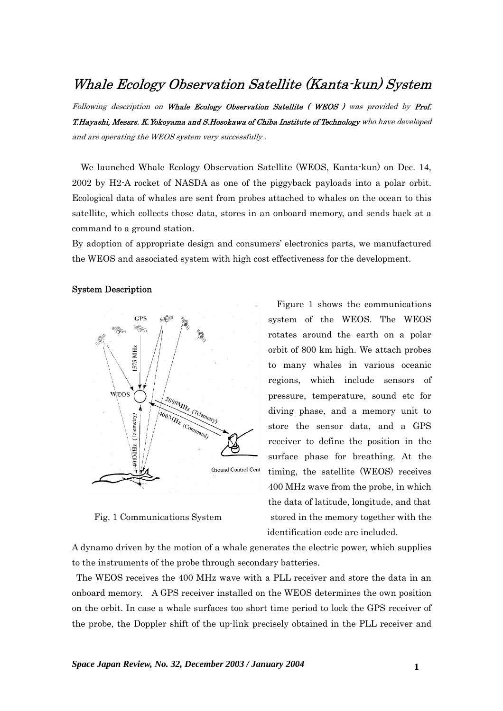## Whale Ecology Observation Satellite (Kanta-kun) System

Following description on Whale Ecology Observation Satellite (WEOS) was provided by Prof. T.Hayashi, Messrs. K.Yokoyama and S.Hosokawa of Chiba Institute of Technology who have developed and are operating the WEOS system very successfully .

We launched Whale Ecology Observation Satellite (WEOS, Kanta-kun) on Dec. 14, 2002 by H2-A rocket of NASDA as one of the piggyback payloads into a polar orbit. Ecological data of whales are sent from probes attached to whales on the ocean to this satellite, which collects those data, stores in an onboard memory, and sends back at a command to a ground station.

By adoption of appropriate design and consumers' electronics parts, we manufactured the WEOS and associated system with high cost effectiveness for the development.

## System Description



Figure 1 shows the communications system of the WEOS. The WEOS rotates around the earth on a polar orbit of 800 km high. We attach probes to many whales in various oceanic regions, which include sensors of pressure, temperature, sound etc for diving phase, and a memory unit to store the sensor data, and a GPS receiver to define the position in the surface phase for breathing. At the timing, the satellite (WEOS) receives 400 MHz wave from the probe, in which the data of latitude, longitude, and that Fig. 1 Communications System stored in the memory together with the identification code are included.

A dynamo driven by the motion of a whale generates the electric power, which supplies to the instruments of the probe through secondary batteries.

 The WEOS receives the 400 MHz wave with a PLL receiver and store the data in an onboard memory. A GPS receiver installed on the WEOS determines the own position on the orbit. In case a whale surfaces too short time period to lock the GPS receiver of the probe, the Doppler shift of the up-link precisely obtained in the PLL receiver and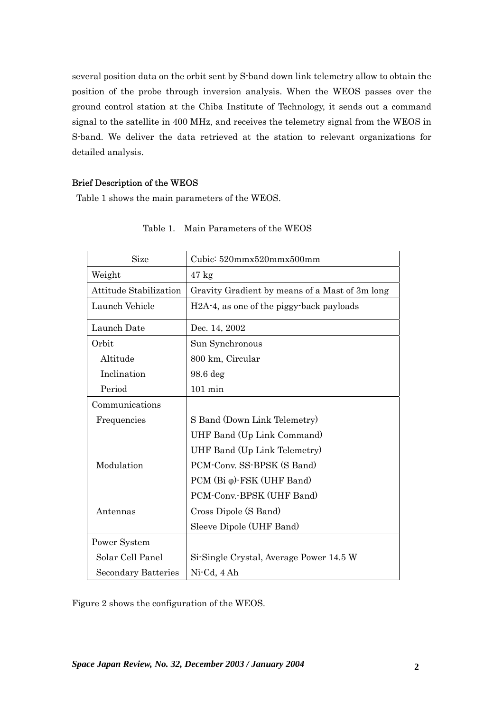several position data on the orbit sent by S-band down link telemetry allow to obtain the position of the probe through inversion analysis. When the WEOS passes over the ground control station at the Chiba Institute of Technology, it sends out a command signal to the satellite in 400 MHz, and receives the telemetry signal from the WEOS in S-band. We deliver the data retrieved at the station to relevant organizations for detailed analysis.

## Brief Description of the WEOS

Table 1 shows the main parameters of the WEOS.

| Size                          | Cubic: 520mmx520mmx500mm                                           |
|-------------------------------|--------------------------------------------------------------------|
| Weight                        | $47 \text{ kg}$                                                    |
| <b>Attitude Stabilization</b> | Gravity Gradient by means of a Mast of 3m long                     |
| Launch Vehicle                | H <sub>2</sub> A <sup>-4</sup> , as one of the piggy-back payloads |
| Launch Date                   | Dec. 14, 2002                                                      |
| Orbit                         | Sun Synchronous                                                    |
| Altitude                      | 800 km, Circular                                                   |
| Inclination                   | 98.6 deg                                                           |
| Period                        | $101$ min                                                          |
| Communications                |                                                                    |
| Frequencies                   | S Band (Down Link Telemetry)                                       |
|                               | UHF Band (Up Link Command)                                         |
|                               | UHF Band (Up Link Telemetry)                                       |
| Modulation                    | PCM-Conv. SS-BPSK (S Band)                                         |
|                               | $PCM$ (Bi $\varphi$ )-FSK (UHF Band)                               |
|                               | PCM-Conv.-BPSK (UHF Band)                                          |
| Antennas                      | Cross Dipole (S Band)                                              |
|                               | Sleeve Dipole (UHF Band)                                           |
| Power System                  |                                                                    |
| Solar Cell Panel              | Si-Single Crystal, Average Power 14.5 W                            |
| <b>Secondary Batteries</b>    | Ni-Cd, 4 Ah                                                        |

Table 1. Main Parameters of the WEOS

Figure 2 shows the configuration of the WEOS.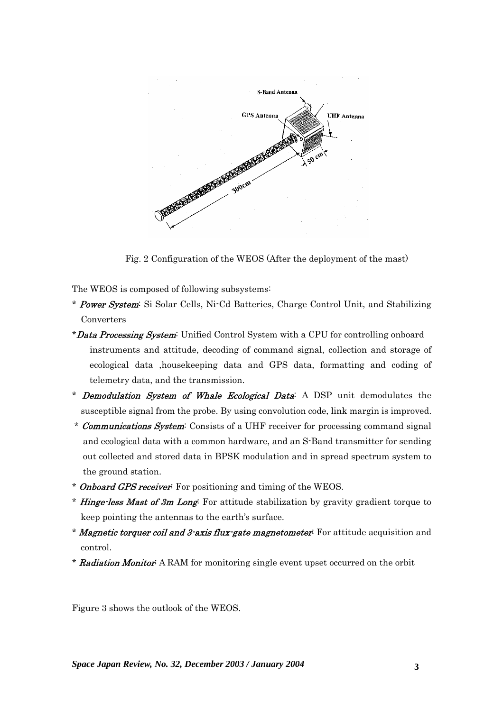

Fig. 2 Configuration of the WEOS (After the deployment of the mast)

The WEOS is composed of following subsystems:

- \* Power System: Si Solar Cells, Ni-Cd Batteries, Charge Control Unit, and Stabilizing Converters
- \***Data Processing System:** Unified Control System with a CPU for controlling onboard instruments and attitude, decoding of command signal, collection and storage of ecological data ,housekeeping data and GPS data, formatting and coding of telemetry data, and the transmission.
- \* Demodulation System of Whale Ecological Data: A DSP unit demodulates the susceptible signal from the probe. By using convolution code, link margin is improved.
- \* Communications System: Consists of a UHF receiver for processing command signal and ecological data with a common hardware, and an S-Band transmitter for sending out collected and stored data in BPSK modulation and in spread spectrum system to the ground station.
- \* **Onboard GPS receiver:** For positioning and timing of the WEOS.
- \* **Hinge-less Mast of 3m Long:** For attitude stabilization by gravity gradient torque to keep pointing the antennas to the earth's surface.
- \* **Magnetic torquer coil and 3-axis flux-gate magnetometer**: For attitude acquisition and control.
- \* Radiation Monitor: A RAM for monitoring single event upset occurred on the orbit

Figure 3 shows the outlook of the WEOS.